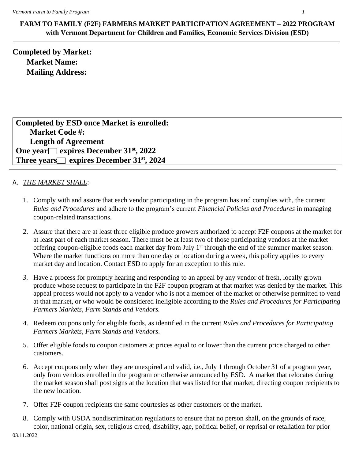**FARM TO FAMILY (F2F) FARMERS MARKET PARTICIPATION AGREEMENT – 2022 PROGRAM with Vermont Department for Children and Families, Economic Services Division (ESD)**

**Completed by Market: Market Name: Mailing Address:**

**Completed by ESD once Market is enrolled: Market Code #: Length of Agreement One year expires December 31st, 2022** Three years expires December 31<sup>st</sup>, 2024

## A. *THE MARKET SHALL*:

- 1. Comply with and assure that each vendor participating in the program has and complies with, the current *Rules and Procedures* and adhere to the program's current *Financial Policies and Procedures* in managing coupon-related transactions.
- 2. Assure that there are at least three eligible produce growers authorized to accept F2F coupons at the market for at least part of each market season. There must be at least two of those participating vendors at the market offering coupon-eligible foods each market day from July 1<sup>st</sup> through the end of the summer market season. Where the market functions on more than one day or location during a week, this policy applies to every market day and location. Contact ESD to apply for an exception to this rule.
- *3.* Have a process for promptly hearing and responding to an appeal by any vendor of fresh, locally grown produce whose request to participate in the F2F coupon program at that market was denied by the market. This appeal process would not apply to a vendor who is not a member of the market or otherwise permitted to vend at that market, or who would be considered ineligible according to the *Rules and Procedures for Participating Farmers Markets, Farm Stands and Vendors.*
- 4. Redeem coupons only for eligible foods, as identified in the current *Rules and Procedures for Participating Farmers Markets, Farm Stands and Vendors*.
- 5. Offer eligible foods to coupon customers at prices equal to or lower than the current price charged to other customers.
- 6. Accept coupons only when they are unexpired and valid, i.e., July 1 through October 31 of a program year, only from vendors enrolled in the program or otherwise announced by ESD. A market that relocates during the market season shall post signs at the location that was listed for that market, directing coupon recipients to the new location.
- 7. Offer F2F coupon recipients the same courtesies as other customers of the market.
- 8. Comply with USDA nondiscrimination regulations to ensure that no person shall, on the grounds of race, color, national origin, sex, religious creed, disability, age, political belief, or reprisal or retaliation for prior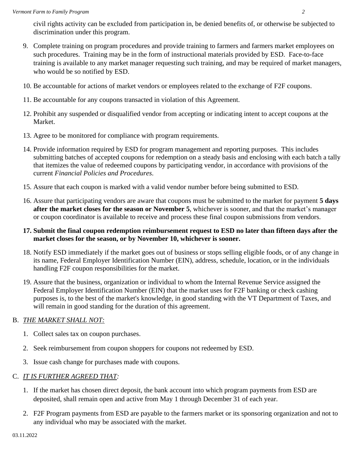civil rights activity can be excluded from participation in, be denied benefits of, or otherwise be subjected to discrimination under this program.

- 9. Complete training on program procedures and provide training to farmers and farmers market employees on such procedures. Training may be in the form of instructional materials provided by ESD. Face-to-face training is available to any market manager requesting such training, and may be required of market managers, who would be so notified by ESD.
- 10. Be accountable for actions of market vendors or employees related to the exchange of F2F coupons.
- 11. Be accountable for any coupons transacted in violation of this Agreement.
- 12. Prohibit any suspended or disqualified vendor from accepting or indicating intent to accept coupons at the Market.
- 13. Agree to be monitored for compliance with program requirements.
- 14. Provide information required by ESD for program management and reporting purposes. This includes submitting batches of accepted coupons for redemption on a steady basis and enclosing with each batch a tally that itemizes the value of redeemed coupons by participating vendor, in accordance with provisions of the current *Financial Policies and Procedures*.
- 15. Assure that each coupon is marked with a valid vendor number before being submitted to ESD.
- 16. Assure that participating vendors are aware that coupons must be submitted to the market for payment **5 days after the market closes for the season or November 5**, whichever is sooner, and that the market's manager or coupon coordinator is available to receive and process these final coupon submissions from vendors.
- **17. Submit the final coupon redemption reimbursement request to ESD no later than fifteen days after the market closes for the season, or by November 10, whichever is sooner.**
- 18. Notify ESD immediately if the market goes out of business or stops selling eligible foods, or of any change in its name, Federal Employer Identification Number (EIN), address, schedule, location, or in the individuals handling F2F coupon responsibilities for the market.
- 19. Assure that the business, organization or individual to whom the Internal Revenue Service assigned the Federal Employer Identification Number (EIN) that the market uses for F2F banking or check cashing purposes is, to the best of the market's knowledge, in good standing with the VT Department of Taxes, and will remain in good standing for the duration of this agreement.

## B. *THE MARKET SHALL NOT:*

- 1. Collect sales tax on coupon purchases.
- 2. Seek reimbursement from coupon shoppers for coupons not redeemed by ESD.
- 3. Issue cash change for purchases made with coupons.

## C. *IT IS FURTHER AGREED THAT:*

- 1. If the market has chosen direct deposit, the bank account into which program payments from ESD are deposited, shall remain open and active from May 1 through December 31 of each year.
- 2. F2F Program payments from ESD are payable to the farmers market or its sponsoring organization and not to any individual who may be associated with the market.